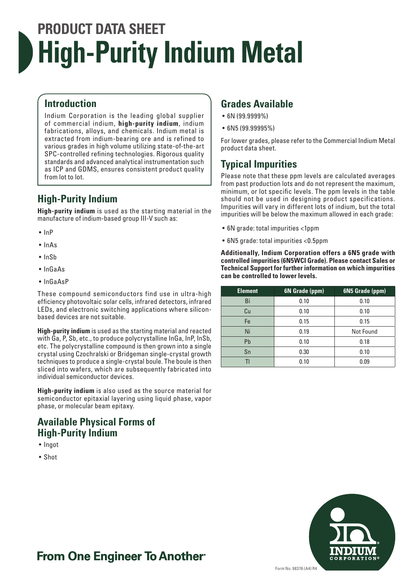# **PRODUCT DATA SHEET High-Purity Indium Metal**

#### **Introduction**

Indium Corporation is the leading global supplier of commercial indium, **high-purity indium**, indium fabrications, alloys, and chemicals. Indium metal is extracted from indium-bearing ore and is refined to various grades in high volume utilizing state-of-the-art SPC-controlled refining technologies. Rigorous quality standards and advanced analytical instrumentation such as ICP and GDMS, ensures consistent product quality from lot to lot.

## **High-Purity Indium**

**High-purity indium** is used as the starting material in the manufacture of indium-based group III-V such as:

- InP
- InAs
- InSb
- InGaAs
- InGaAsP

These compound semiconductors find use in ultra-high efficiency photovoltaic solar cells, infrared detectors, infrared LEDs, and electronic switching applications where siliconbased devices are not suitable.

**High-purity indium** is used as the starting material and reacted with Ga, P, Sb, etc., to produce polycrystalline InGa, InP, InSb, etc. The polycrystalline compound is then grown into a single crystal using Czochralski or Bridgeman single-crystal growth techniques to produce a single-crystal boule. The boule is then sliced into wafers, which are subsequently fabricated into individual semiconductor devices.

**High-purity indium** is also used as the source material for semiconductor epitaxial layering using liquid phase, vapor phase, or molecular beam epitaxy.

### **Available Physical Forms of High-Purity Indium**

- Ingot
- Shot

## **Grades Available**

- 6N (99.9999%)
- 6N5 (99.99995%)

For lower grades, please refer to the Commercial Indium Metal product data sheet.

## **Typical Impurities**

Please note that these ppm levels are calculated averages from past production lots and do not represent the maximum, minimum, or lot specific levels. The ppm levels in the table should not be used in designing product specifications. Impurities will vary in different lots of indium, but the total impurities will be below the maximum allowed in each grade:

- 6N grade: total impurities <1ppm
- 6N5 grade: total impurities <0.5ppm

**Additionally, Indium Corporation offers a 6N5 grade with controlled impurities (6N5WCI Grade). Please contact Sales or Technical Support for further information on which impurities can be controlled to lower levels.**

| <b>Element</b> | <b>6N Grade (ppm)</b> | 6N5 Grade (ppm) |
|----------------|-----------------------|-----------------|
| Bi             | 0.10                  | 0.10            |
| Cu             | 0.10                  | 0.10            |
| Fe             | 0.15                  | 0.15            |
| Ni             | 0.19                  | Not Found       |
| Pb             | 0.10                  | 0.18            |
| S <sub>n</sub> | 0.30                  | 0.10            |
|                | 0.10                  | 0.09            |



## **From One Engineer To Another**